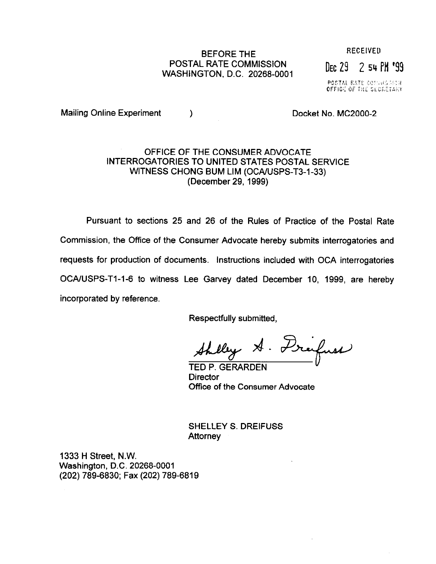## BEFORE THE RECEIVED POSTAL RATE COMMISSION POSTAL RATE COMMISSION<br>WASHINGTON, D.C. 20268-0001

POSTAL RATE DONNISSION<br>OFFICE OF THE SECRETARY

Mailing Online Experiment (b) and the Docket No. MC2000-2

## OFFICE OF THE CONSUMER ADVOCATE INTERROGATORIES TO UNITED STATES POSTAL SERVICE WITNESS CHONG BUM LIM (OCA/USPS-T3-1-33) (December 29, 1999)

Pursuant to sections 25 and 26 of the Rules of Practice of the Postal Rate Commission, the Office of the Consumer Advocate hereby submits interrogatories and requests for production of documents. Instructions included with OCA interrogatories OCA/USPS-T1-1-6 to witness Lee Garvey dated December 10, 1999, are hereby incorporated by reference.

Respectfully submitted,

Shelley A. Dreifuse

TED P. GERARDEN **Director** Office of the Consumer Advocate

SHELLEY S. DREIFUSS **Attorney** 

1333 H Street, N.W. Washington, D.C. 20268-0001 (202) 789-6830; Fax (202) 789-6819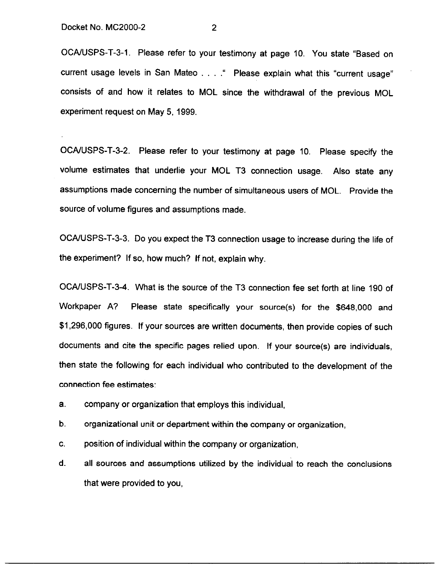OCA/USPS-T-3-1. Please refer to your testimony at page 10. You state "Based on current usage levels in San Mateo . . . . " Please explain what this "current usage" consists of and how it relates to MOL since the withdrawal of the previous MOL experiment request on May 5,1999.

OCA/USPS-T-3-2. Please refer to your testimony at page 10. Please specify the volume estimates that underlie your MOL T3 connection usage. Also state any assumptions made concerning the number of simultaneous users of MOL. Provide the source of volume figures and assumptions made.

OCAIUSPS-T-3-3. Do you expect the T3 connection usage to increase during the life of the experiment? If so, how much? If not, explain why.

OCAIUSPS-T-3-4. What is the source of the T3 connection fee set forth at line 190 of Workpaper A? Please state specifically your source(s) for the \$648,000 and \$1,296,000 figures. If your sources are written documents, then provide copies of such documents and cite the specific pages relied upon. If your source(s) are individuals, then state the following for each individual who contributed to the development of the connection fee estimates:

a. company or organization that employs this individual,

b. organizational unit or department within the company or organization,

C. position of individual within the company or organization,

d. all sources and assumptions utilized by the individual to reach the conclusions that were provided to you,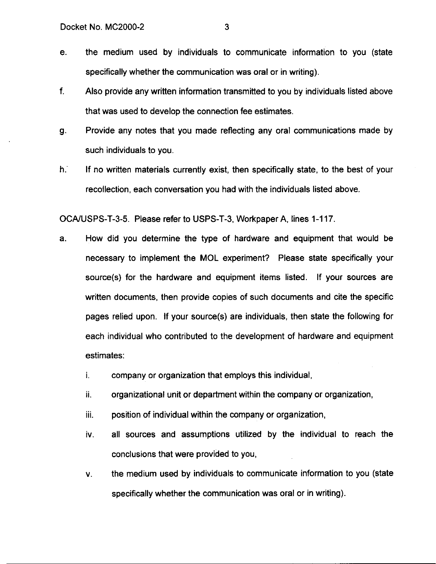- e. the medium used by individuals to communicate information to you (state specifically whether the communication was oral or in writing).
- f. Also provide any written information transmitted to you by individuals listed above that was used to develop the connection fee estimates.
- 9. Provide any notes that you made reflecting any oral communications made by such individuals to you.
- h: If no written materials currently exist, then specifically state, to the best of your recollection, each conversation you had with the individuals listed above.

OCA/USPS-T-3-5. Please refer to USPS-T-3, Workpaper A, lines 1-117.

- a. How did you determine the type of hardware and equipment that would be necessary to implement the MOL experiment? Please state specifically your source(s) for the hardware and equipment items listed. If your sources are written documents, then provide copies of such documents and cite the specific pages relied upon. If your source(s) are individuals, then state the following for each individual who contributed to the development of hardware and equipment estimates:
	- i. company or organization that employs this individual,
	- ii. organizational unit or department within the company or organization,
	- $iii.$  position of individual within the company or organization,
	- iv. all sources and assumptions utilized by the individual to reach the conclusions that were provided to you,
	- V. the medium used by individuals to communicate information to you (state specifically whether the communication was oral or in writing).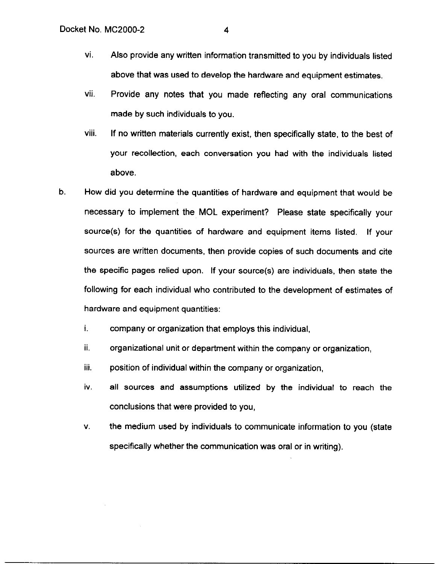- vi. Also provide any written information transmitted to you by individuals listed above that was used to develop the hardware and equipment estimates,
- vii. Provide any notes that you made reflecting any oral communications made by such individuals to you.
- viii. If no written materials currently exist, then specifically state, to the best of your recollection, each conversation you had with the individuals listed above.
- b. How did you determine the quantities of hardware and equipment that would be necessary to implement the MOL experiment? Please state specifically your source(s) for the quantities of hardware and equipment items listed. If your sources are written documents, then provide copies of such documents and cite the specific pages relied upon. If your source(s) are individuals, then state the following for each individual who contributed to the development of estimates of hardware and equipment quantities:
	- i. company or organization that employs this individual,
	- ii, organizational unit or department within the company or organization,
	- iii. position of individual within the company or organization,
	- iv. all sources and assumptions utilized by the individual to reach the conclusions that were provided to you,
	- V. the medium used by individuals to communicate information to you (state specifically whether the communication was oral or in writing).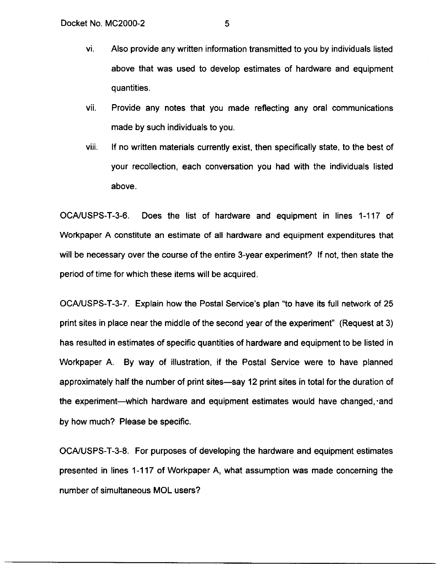- vi. Also provide any written information transmitted to you by individuals listed above that was used to develop estimates of hardware and equipment quantities.
- vii. Provide any notes that you made reflecting any oral communications made by such individuals to you.
- viii. If no written materials currently exist, then specifically state, to the best of your recollection, each conversation you had with the individuals listed above.

OCAIUSPS-T-3-6. Does the list of hardware and equipment in lines 1-117 of Workpaper A constitute an estimate of all hardware and equipment expenditures that will be necessary over the course of the entire 3-year experiment? If not, then state the period of time for which these items will be acquired.

OCA/USPS-T-3-7. Explain how the Postal Service's plan "to have its full network of 25 print sites in place near the middle of the second year of the experiment" (Request at 3) has resulted in estimates of specific quantities of hardware and equipment to be listed in Workpaper A. By way of illustration, if the Postal Service were to have planned approximately half the number of print sites-say 12 print sites in total for the duration of the experiment—which hardware and equipment estimates would have changed, and by how much? Please be specific.

OCAAJSPS-T-3-8. For purposes of developing the hardware and equipment estimates presented in lines 1-117 of Workpaper A, what assumption was made concerning the number of simultaneous MOL users?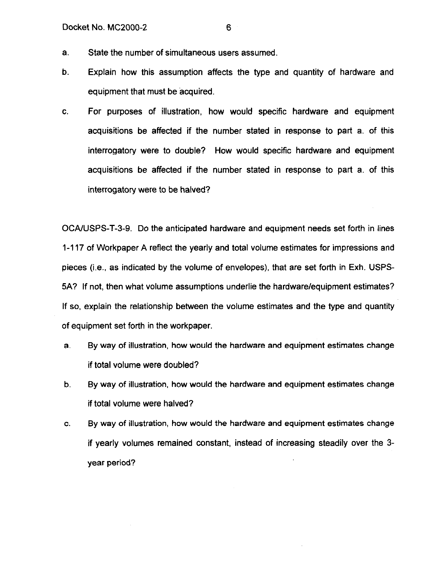- a. State the number of simultaneous users assumed.
- b. Explain how this assumption affects the type and quantity of hardware and equipment that must be acquired.
- C. For purposes of illustration, how would specific hardware and equipment acquisitions be affected if the number stated in response to part a. of this interrogatory were to double? How would specific hardware and equipment acquisitions be affected if the number stated in response to part a. of this interrogatory were to be halved?

OCA/USPS-T-3-9. Do the anticipated hardware and equipment needs set forth in lines 1-117 of Workpaper A reflect the yearly and total volume estimates for impressions and pieces (i.e., as indicated by the volume of envelopes), that are set forth in Exh. USPS-5A? If not, then what volume assumptions underlie the hardware/equipment estimates? If so, explain the relationship between the volume estimates and the type and quantity of equipment set forth in the workpaper.

- a. By way of illustration, how would the hardware and equipment estimates change if total volume were doubled?
- b. By way of illustration, how would the hardware and equipment estimates change if total volume were halved?
- C. By way of illustration, how would the hardware and equipment estimates change if yearly volumes remained constant, instead of increasing steadily over the 3 year period?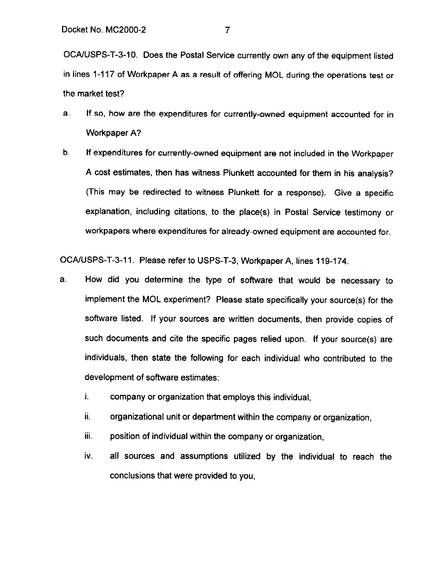OCA/USPS-T-3-10. Does the Postal Service currently own any of the equipment listed in lines 1-117 of Workpaper A as a result of offering MOL during the operations test or the market test?

- a. If so, how are the expenditures for currently-owned equipment accounted for in Workpaper A?
- b. If expenditures for currently-owned equipment are not included in the Workpaper A cost estimates, then has witness Plunkett accounted for them in his analysis? (This may be redirected to witness Plunkett for a response). Give a specific explanation, including citations, to the place(s) in Postal Service testimony or workpapers where expenditures for already-owned equipment are accounted for.

OCAIUSPS-T-3-l I. Please refer to USPS-T-3, Workpaper A, lines 119-174.

- a. How did you determine the type of software that would be necessary to implement the MOL experiment? Please state specifically your source(s) for the software listed. If your sources are written documents, then provide copies of such documents and cite the specific pages relied upon. If your source(s) are individuals, then state the following for each individual who contributed to the development of software estimates:
	- i. company or organization that employs this individual,
	- ii. organizational unit or department within the company or organization,
	- iii. position of individual within the company or organization,
	- iv. all sources and assumptions utilized by the individual to reach the conclusions that were provided to you,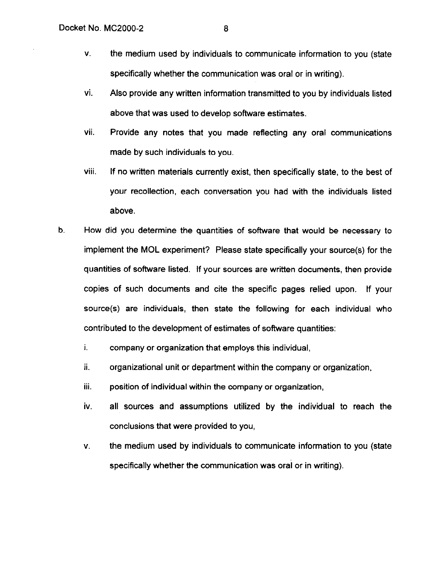- V. the medium used by individuals to communicate information to you (state specifically whether the communication was oral or in writing).
- vi. Also provide any written information transmitted to you by individuals listed above that was used to develop software estimates.
- vii. Provide any notes that you made reflecting any oral communications made by such individuals to you.
- Viii. If no written materials currently exist, then specifically state, to the best of your recollection, each conversation you had with the individuals listed above.
- b. How did you determine the quantities of software that would be necessary to implement the MOL experiment? Please state specifically your source(s) for the quantities of software listed. If your sources are written documents, then provide copies of such documents and cite the specific pages relied upon. If your source(s) are individuals, then state the following for each individual who contributed to the development of estimates of software quantities:
	- i. company or organization that employs this individual,
	- ii. organizational unit or department within the company or organization,
	- $\mathbf{ii}$ . position of individual within the company or organization,
	- iv. all sources and assumptions utilized by the individual to reach the conclusions that were provided to you,
	- V. the medium used by individuals to communicate information to you (state specifically whether the communication was oral or in writing).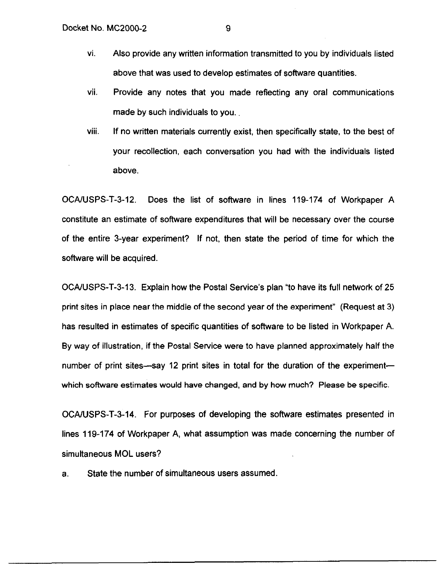- vi. Also provide any written information transmitted to you by individuals listed above that was used to develop estimates of software quantities.
- vii. Provide any notes that you made reflecting any oral communications made by such individuals to you.
- viii. If no written materials currently exist, then specifically state, to the best of your recollection, each conversation you had with the individuals listed above.

OCAIUSPS-T-3-12. Does the list of software in lines 119-174 of Workpaper A constitute an estimate of software expenditures that will be necessary over the course of the entire 3-year experiment? If not, then state the period of time for which the software will be acquired.

OCA/USPS-T-3-13. Explain how the Postal Service's plan "to have its full network of 25 print sites in place near the middle of the second year of the experiment" (Request at 3) has resulted in estimates of specific quantities of software to be listed in Workpaper A. By way of illustration, if the Postal Service were to have planned approximately half the number of print sites-say 12 print sites in total for the duration of the experimentwhich software estimates would have changed, and by how much? Please be specific.

OCA/USPS-T-3-14. For purposes of developing the software estimates presented in lines 119-174 of Workpaper A, what assumption was made concerning the number of simultaneous MOL users?

a. State the number of simultaneous users assumed.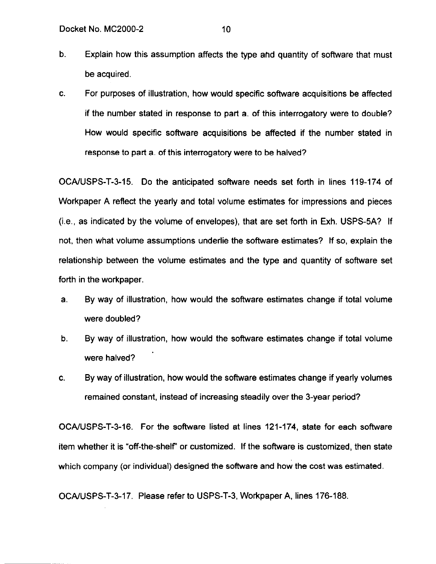- b. Explain how this assumption affects the type ahd quantity of software that must be acquired.
- C. For purposes of illustration, how would specific software acquisitions be affected if the number stated in response to part a. of this interrogatory were to double? How would specific software acquisitions be affected if the number stated in response to part a. of this interrogatory were to be halved?

OCALJSPS-T-3-15. Do the anticipated software needs set forth in lines 119-174 of Workpaper A reflect the yearly and total volume estimates for impressions and pieces  $(i.e., as indicated by the volume of envelopes), that are set forth in Exh. USPS-5A? If$ not, then what volume assumptions underlie the software estimates? If so, explain the relationship between the volume estimates and the type and quantity of software set forth in the workpaper.

- a. By way of illustration, how would the software estimates change if total volume were doubled?
- b. By way of illustration, how would the software estimates change if total volume were halved?
- C. By way of illustration, how would the software estimates change if yearly volumes remained constant, instead of increasing steadily over the 3-year period?

OCAIUSPS-T-3-16. For the software listed at lines 121-174, state for each software item whether it is "off-the-shelf' or customized. If the software is customized, then state which company (or individual) designed the software and how the cost was estimated.

OCA/USPS-T-3-17. Please refer to USPS-T-3, Workpaper A, lines 176-188.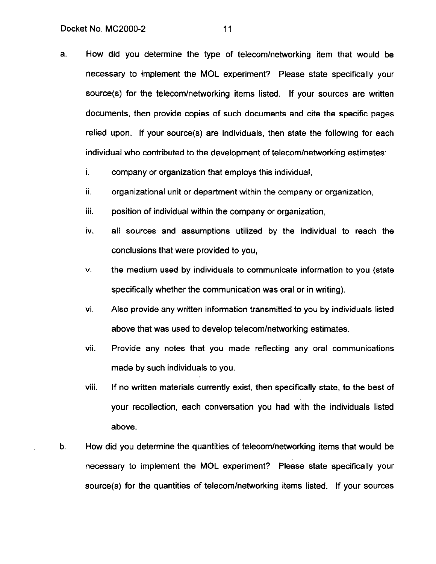- a. How did you determine the type of telecomlnetworking item that would be necessary to implement the MOL experiment? Please state specifically your source(s) for the telecom/networking items listed. If your sources are written documents, then provide copies of such documents and cite the specific pages relied upon. If your source(s) are individuals, then state the following for each individual who contributed to the development of telecom/networking estimates:
	- i. company or organization that employs this individual,
	- ii. organizational unit or department within the company or organization,
	- Ill. position of individual within the company or organization,
	- iv. all sources' and assumptions utilized by the individual to reach the conclusions that were provided to you,
	- V. the medium used by individuals to communicate information to you (state specifically whether the communication was oral or in writing).
	- vi. Also provide any written information transmitted to you by individuals listed above that was used to develop telecom/networking estimates.
	- vii. Provide any notes that you made reflecting any oral communications made by such individuals to you.
	- VIII. If no written materials currently exist, then specifically state, to the best of your recollection, each conversation you had with the individuals listed above.
- b. How did you determine the quantities of telecom/networking items that would be necessary to implement the MOL experiment? Please state specifically your source(s) for the quantities of telecom/networking items listed. If your sources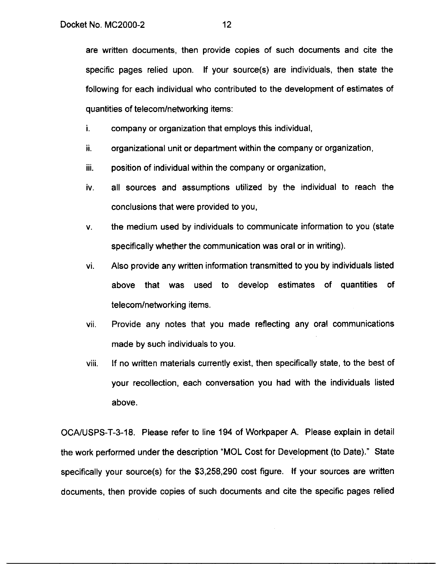are written documents, then provide copies of such documents and cite the specific pages relied upon. If your source(s) are individuals, then state the following for each individual who contributed to the development of estimates of quantities of telecom/networking items:

i. company or organization that employs this individual,

- ii. organizational unit or department within the company or organization,
- Ill. position of individual within the company or organization,
- iv. all sources and assumptions utilized by the individual to reach the conclusions that were provided to you,
- V. the medium used by individuals to communicate information to you (state specifically whether the communication was oral or in writing).
- vi. Also provide any written information transmitted to you by individuals listed above that was used to develop estimates of quantities of telecom/networking items.
- vii. Provide any notes that you made reflecting any oral communications made by such individuals to you.
- VIII If no written materials currently exist, then specifically state, to the best of your recollection, each conversation you had with the individuals listed above.

OCA/USPS-T-3-18. Please refer to line 194 of Workpaper A. Please explain in detail the work performed under the description "MOL Cost for Development (to Date)." State specifically your source(s) for the \$3,258,290 cost figure. If your sources are written documents, then provide copies of such documents and cite the specific pages relied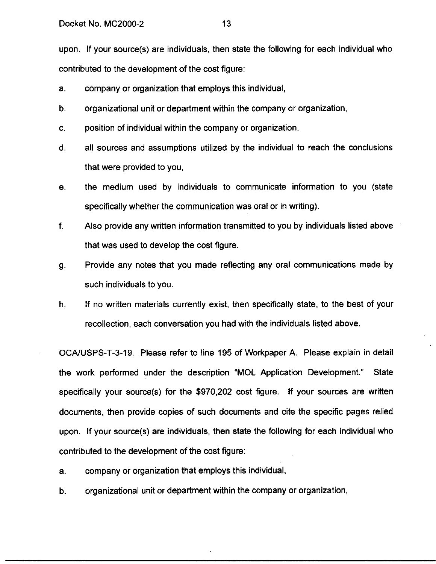upon. If your source(s) are individuals, then state the following for each individual who contributed to the development of the cost figure:

- a. company or organization that employs this individual,
- b. organizational unit or department within the company or organization,
- C. position of individual within the company or organization,
- d. all sources and assumptions utilized by the individual to reach the conclusions that were provided to you,
- e. the medium used by individuals to communicate information to you (state specifically whether the communication was oral or in writing).
- f. Also provide any written information transmitted to you by individuals listed above that was used to develop the cost figure.
- 9. Provide any notes that you made reflecting any oral communications made by such individuals to you.
- h. If no written materials currently exist, then specifically state, to the best of your recollection, each conversation you had with the individuals listed above.

OCAIUSPS-T-3-19. Please refer to line 195 of Workpaper A. Please explain in detail the work performed under the description "MOL Application Development." State specifically your source(s) for the \$970,202 cost figure. If your sources are written documents, then provide copies of such documents and cite the specific pages relied upon. If your source(s) are individuals, then state the following for each individual who contributed to the development of the cost figure:

- a. company or organization that employs this individual,
- b. organizational unit or department within the company or organization,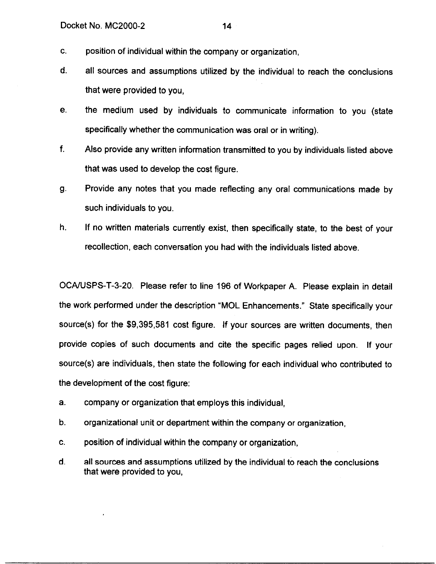- C. position of individual within the company or organization,
- d. all sources and assumptions utilized by the individual to reach the conclusions that were provided to you,
- e. the medium used by individuals to communicate information to you (state specifically whether the communication was oral or in writing).
- f. Also provide any written information transmitted to you by individuals listed above that was used to develop the cost figure.
- 9. Provide any notes that you made reflecting any oral communications made by such individuals to you.
- h. If no written materials currently exist, then specifically state, to the best of your recollection, each conversation you had with the individuals listed above.

OCA/USPS-T-3-20. Please refer to line 196 of Workpaper A. Please explain in detail the work performed under the description "MOL Enhancements." State specifically your source(s) for the \$9,395,581 cost figure. If your sources are written documents, then provide copies of such documents and cite the specific pages relied upon. If your source(s) are individuals, then state the following for each individual who contributed to the development of the cost figure:

- a. company or organization that employs this individual,
- b. organizational unit or department within the company or organization,
- C. position of individual within the company or organization,
- d. all sources and assumptions utilized by the individual to reach the conclusions that were provided to you,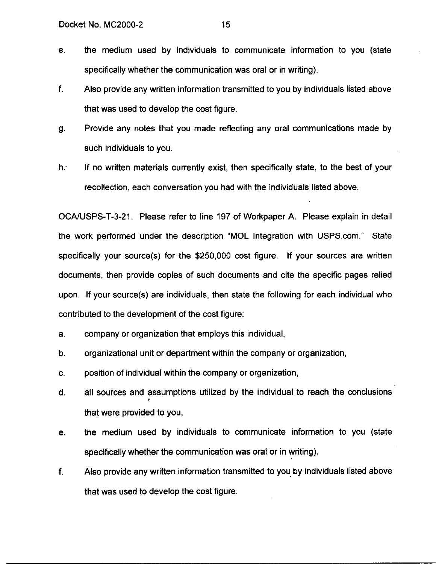- e. the medium used by individuals to communicate information to you (state specifically whether the communication was oral or in writing).
- f. Also provide any written information transmitted to you by individuals listed above that was used to develop the cost figure.
- 9. Provide any notes that you made reflecting any oral communications made by such individuals to you.
- h. If no written materials currently exist, then specifically state, to the best of your recollection, each conversation you had with the individuals listed above.

OCA/lJSPS-T-3-21. Please refer to line 197 of Workpaper A. Please explain in detail the work performed under the description "MOL Integration with USPS.com." State specifically your source(s) for the \$250,000 cost figure. If your sources are written documents, then provide copies of such documents and cite the specific pages relied upon. If your source(s) are individuals, then state the following for each individual who contributed to the development of the cost figure:

- a. company or organization that employs this individual,
- b. organizational unit or department within the company or organization,
- C. position of individual within the company or organization,
- d. all sources and assumptions utilized by the individual to reach the conclusions that were provided to you,
- e. the medium used by individuals to communicate information to you (state specifically whether the communication was oral or in writing).
- f. Also provide any written information transmitted to you. by individuals listed above that was used to develop the cost figure.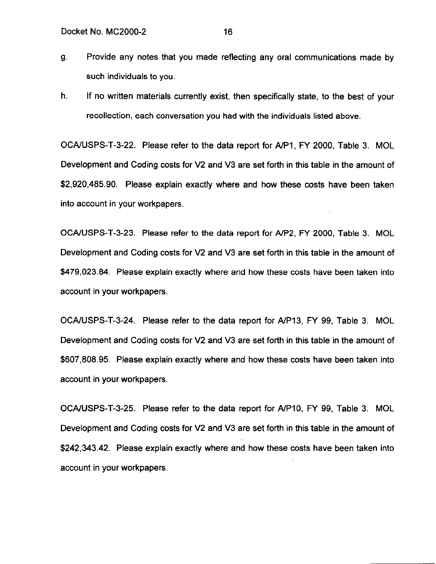- 9. Provide any notes that you made reflecting any oral communications made by such individuals to you.
- h. If no written materials currently exist, then specifically state, to the best of your recollection, each conversation you had with the individuals listed above.

OCAIUSPS-T-3-22. Please refer to the data report for A/PI, FY 2000, Table 3. MOL Development and Coding costs for V2 and V3 are set forth in this table in the amount of \$2,920,485.90. Please explain exactly where and how these costs have been taken into account in your workpapers.

OCA/USPS-T-3-23. Please refer to the data report for A/P2, FY 2000, Table 3. MOL Development and Coding costs for V2 and V3 are set forth in this table in the amount of \$479,023.84. Please explain exactly where and how these costs have been taken into account in your workpapers.

OCA/USPS-T-3-24. Please refer to the data report for A/P13, FY 99, Table 3. MOL Development and Coding costs for V2 and V3 are set forth in this table in the amount of \$607,808.95. Please explain exactly where and how these costs have been taken into account in your workpapers.

OCAWSPS-T-3-25. Please refer to the data report for AIPIO, FY 99, Table 3. MOL Development and Coding costs for V2 and V3 are set forth in this table in the amount of \$242,343.42. Please explain exactly where and how these costs have been taken into account in your workpapers.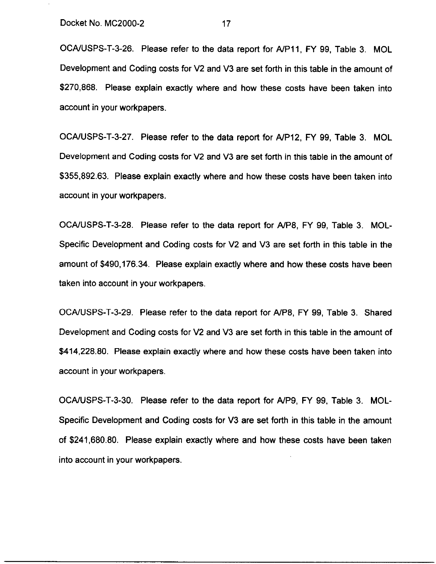OCA/USPS-T-3-26. Please refer to the data report for A/P11, FY 99, Table 3. MOL Development and Coding costs for V2 and V3 are set forth in this table in the amount of \$270,868. Please explain exactly where and how these costs have been taken into account in your workpapers.

OCA/USPS-T-3-27. Please refer to the data report for AIP12, FY 99, Table 3. MOL Development and Coding costs for V2 and V3 are set forth in this table in the amount of \$355,892.63. Please explain exactly where and how these costs have been taken into account in your workpapers.

OCA/USPS-T-3-28. Please refer to the data report for A/P8, FY 99, Table 3. MOL-Specific Development and Coding costs for V2 and V3 are set forth in this table in the amount of \$490,176.34. Please explain exactly where and how these costs have been taken into account in your workpapers.

OCANSPS-T-3-29. Please refer to the data report for A/P8, FY 99, Table 3. Shared Development and Coding costs for V2 and V3 are set forth in this table in the amount of \$414,228.80. Please explain exactly where and how these costs have been taken into account in your workpapers.

OCAIUSPS-T-3-30. Please refer to the data report for A/P9, FY 99, Table 3. MOL-Specific Development and Coding costs for V3 are set forth in this table in the amount of \$241,680.80. Please explain exactly where and how these costs have been taken into account in your workpapers.